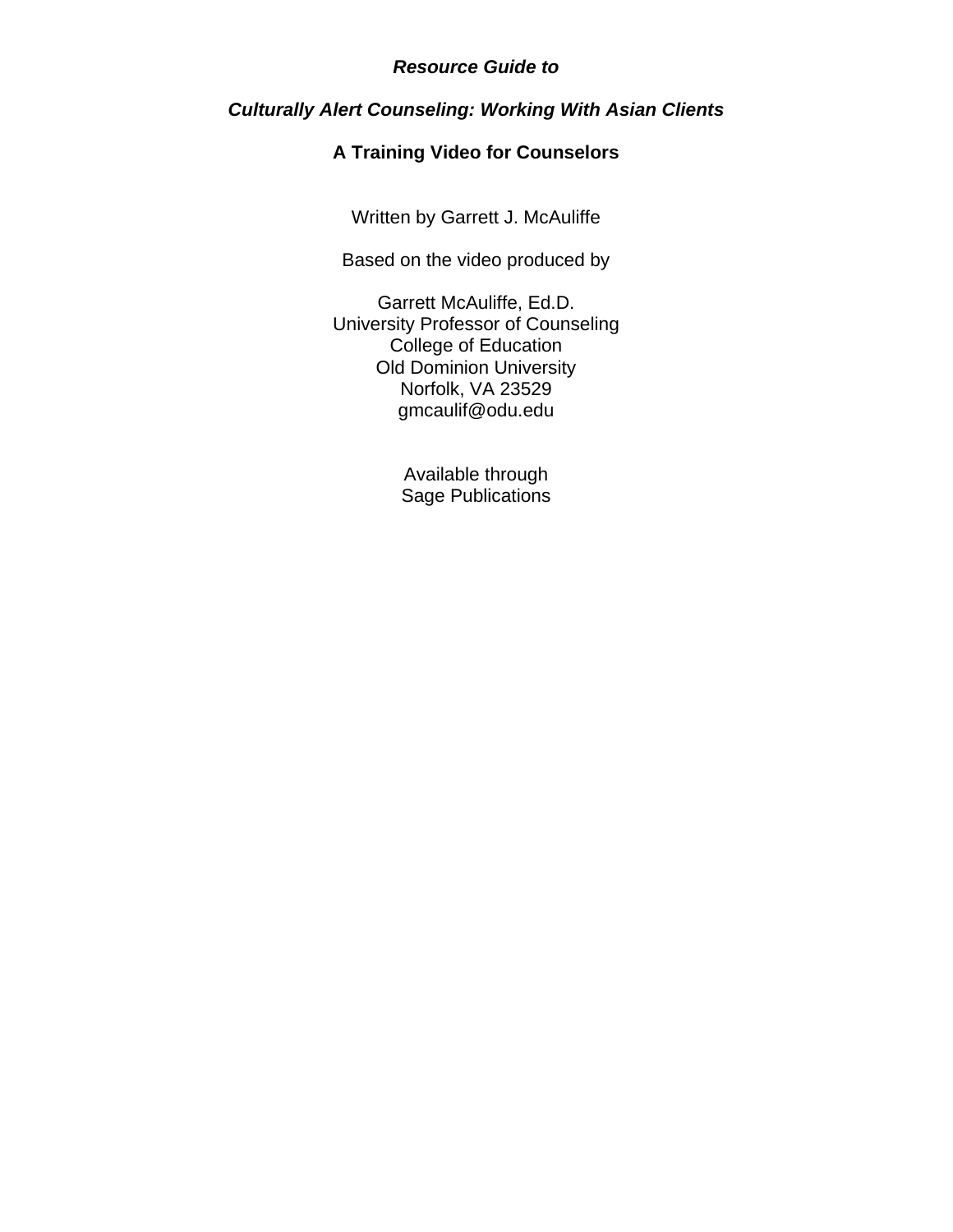# *Resource Guide to*

# *Culturally Alert Counseling: Working With Asian Clients*

# **A Training Video for Counselors**

Written by Garrett J. McAuliffe

Based on the video produced by

Garrett McAuliffe, Ed.D. University Professor of Counseling College of Education Old Dominion University Norfolk, VA 23529 gmcaulif@odu.edu

> Available through Sage Publications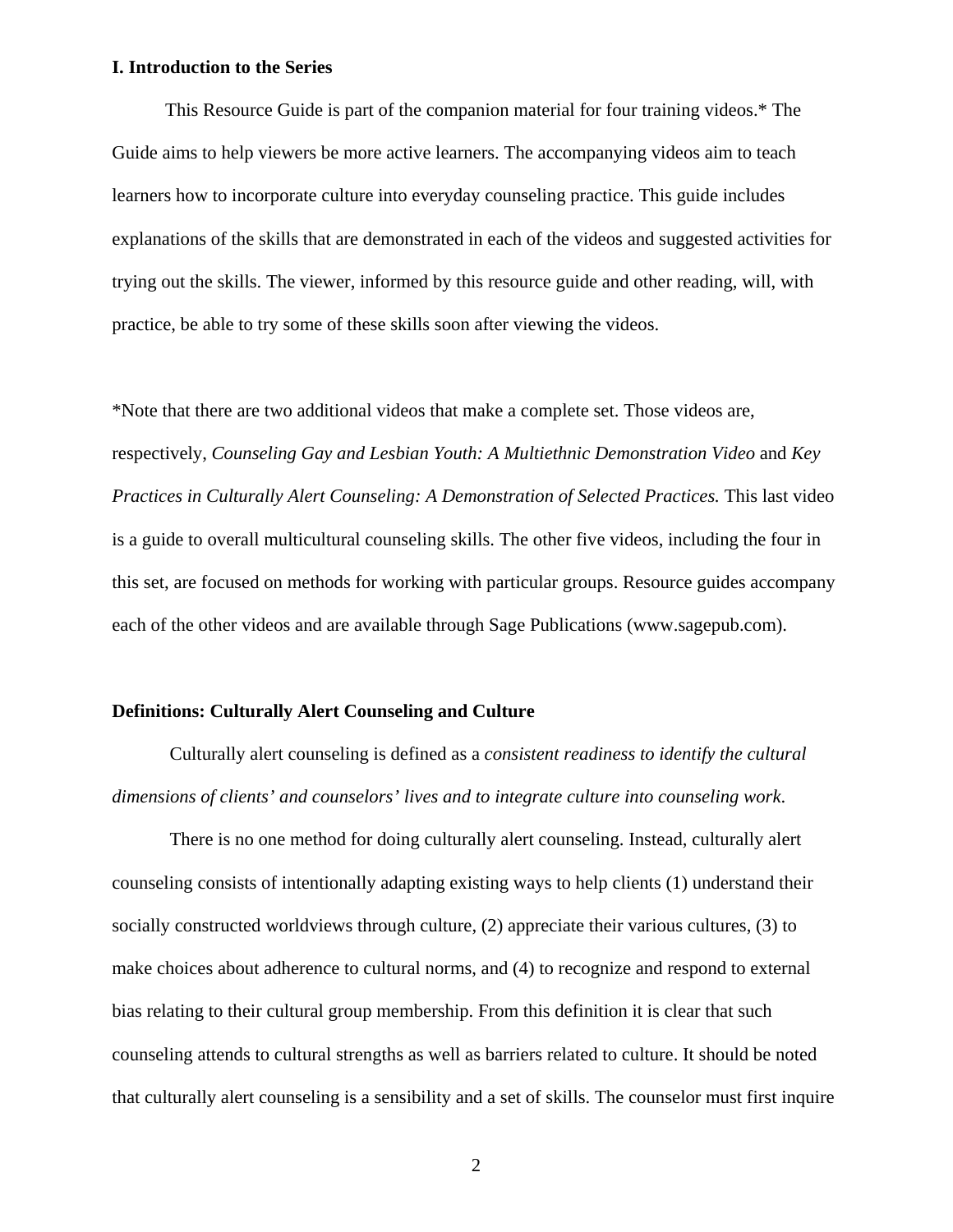#### **I. Introduction to the Series**

This Resource Guide is part of the companion material for four training videos.\* The Guide aims to help viewers be more active learners. The accompanying videos aim to teach learners how to incorporate culture into everyday counseling practice. This guide includes explanations of the skills that are demonstrated in each of the videos and suggested activities for trying out the skills. The viewer, informed by this resource guide and other reading, will, with practice, be able to try some of these skills soon after viewing the videos.

\*Note that there are two additional videos that make a complete set. Those videos are, respectively, *Counseling Gay and Lesbian Youth: A Multiethnic Demonstration Video* and *Key Practices in Culturally Alert Counseling: A Demonstration of Selected Practices. This last video* is a guide to overall multicultural counseling skills. The other five videos, including the four in this set, are focused on methods for working with particular groups. Resource guides accompany each of the other videos and are available through Sage Publications (www.sagepub.com).

### **Definitions: Culturally Alert Counseling and Culture**

Culturally alert counseling is defined as a *consistent readiness to identify the cultural dimensions of clients' and counselors' lives and to integrate culture into counseling work*.

There is no one method for doing culturally alert counseling. Instead, culturally alert counseling consists of intentionally adapting existing ways to help clients (1) understand their socially constructed worldviews through culture, (2) appreciate their various cultures, (3) to make choices about adherence to cultural norms, and (4) to recognize and respond to external bias relating to their cultural group membership. From this definition it is clear that such counseling attends to cultural strengths as well as barriers related to culture. It should be noted that culturally alert counseling is a sensibility and a set of skills. The counselor must first inquire

2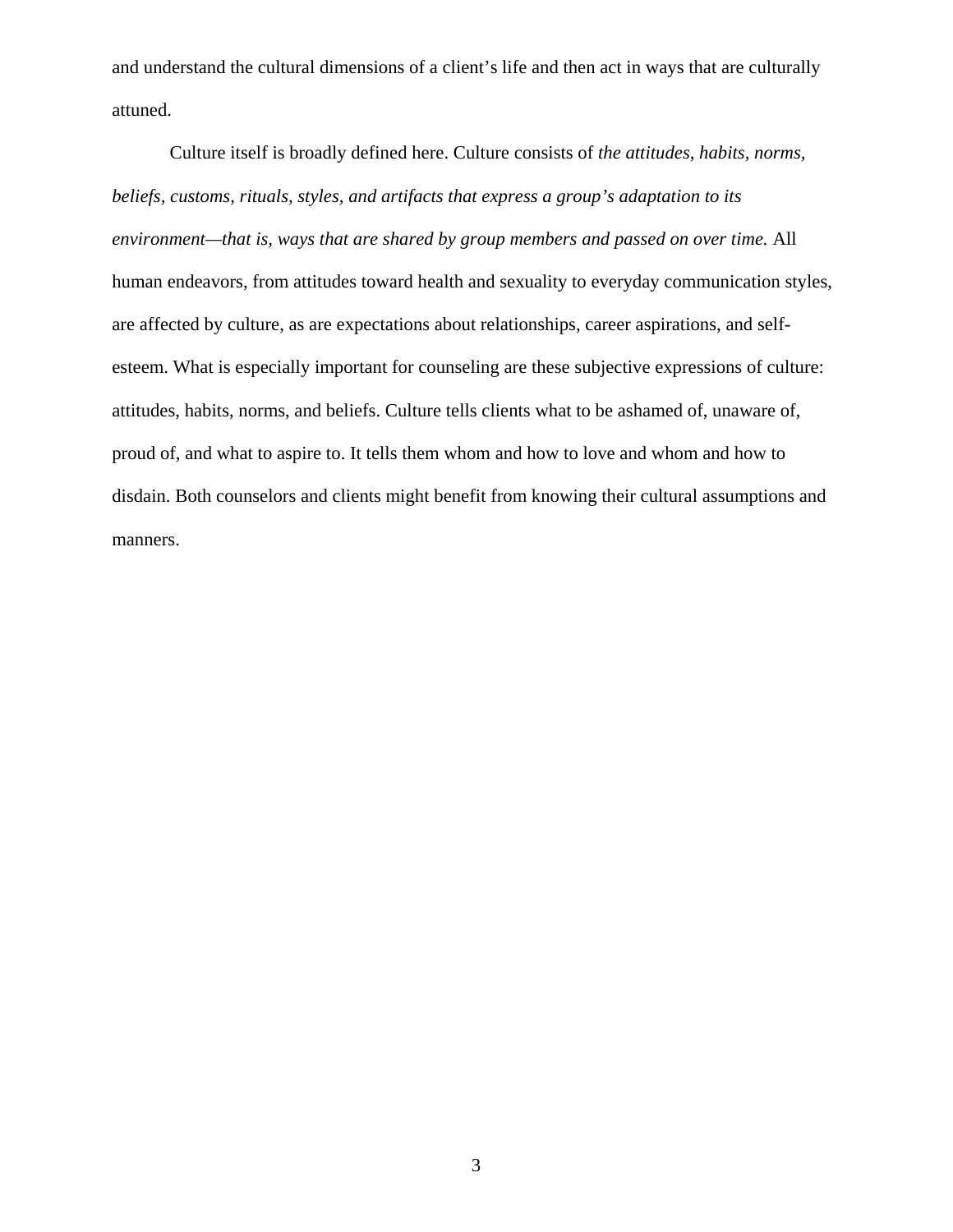and understand the cultural dimensions of a client's life and then act in ways that are culturally attuned.

Culture itself is broadly defined here. Culture consists of *the attitudes, habits, norms, beliefs, customs, rituals, styles, and artifacts that express a group's adaptation to its environment—that is, ways that are shared by group members and passed on over time.* All human endeavors, from attitudes toward health and sexuality to everyday communication styles, are affected by culture, as are expectations about relationships, career aspirations, and selfesteem. What is especially important for counseling are these subjective expressions of culture: attitudes, habits, norms, and beliefs. Culture tells clients what to be ashamed of, unaware of, proud of, and what to aspire to. It tells them whom and how to love and whom and how to disdain. Both counselors and clients might benefit from knowing their cultural assumptions and manners.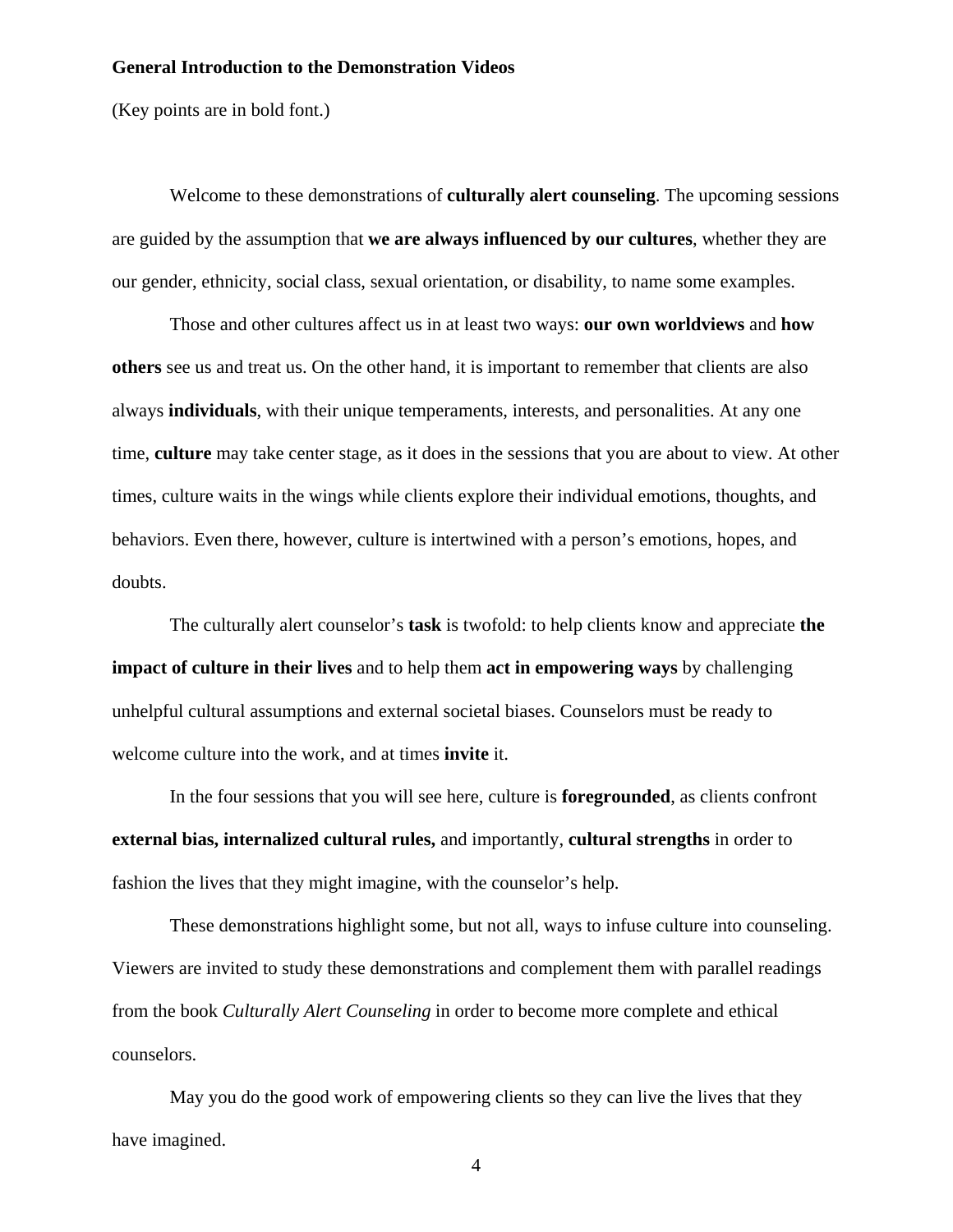#### **General Introduction to the Demonstration Videos**

(Key points are in bold font.)

Welcome to these demonstrations of **culturally alert counseling**. The upcoming sessions are guided by the assumption that **we are always influenced by our cultures**, whether they are our gender, ethnicity, social class, sexual orientation, or disability, to name some examples.

Those and other cultures affect us in at least two ways: **our own worldviews** and **how others** see us and treat us. On the other hand, it is important to remember that clients are also always **individuals**, with their unique temperaments, interests, and personalities. At any one time, **culture** may take center stage, as it does in the sessions that you are about to view. At other times, culture waits in the wings while clients explore their individual emotions, thoughts, and behaviors. Even there, however, culture is intertwined with a person's emotions, hopes, and doubts.

The culturally alert counselor's **task** is twofold: to help clients know and appreciate **the impact of culture in their lives** and to help them **act in empowering ways** by challenging unhelpful cultural assumptions and external societal biases. Counselors must be ready to welcome culture into the work, and at times **invite** it.

In the four sessions that you will see here, culture is **foregrounded**, as clients confront **external bias, internalized cultural rules,** and importantly, **cultural strengths** in order to fashion the lives that they might imagine, with the counselor's help.

These demonstrations highlight some, but not all, ways to infuse culture into counseling. Viewers are invited to study these demonstrations and complement them with parallel readings from the book *Culturally Alert Counseling* in order to become more complete and ethical counselors.

May you do the good work of empowering clients so they can live the lives that they have imagined.

4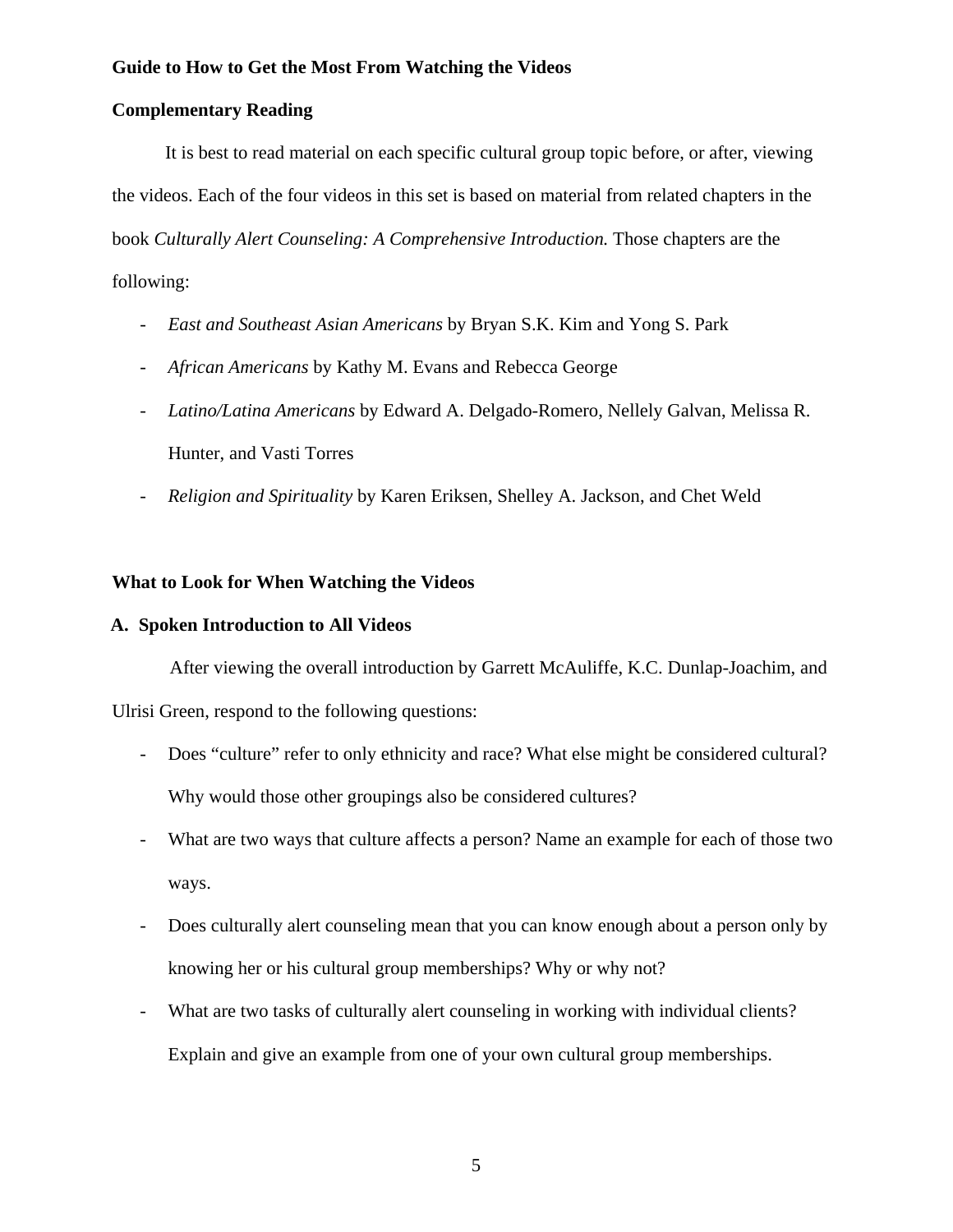#### **Guide to How to Get the Most From Watching the Videos**

#### **Complementary Reading**

It is best to read material on each specific cultural group topic before, or after, viewing the videos. Each of the four videos in this set is based on material from related chapters in the book *Culturally Alert Counseling: A Comprehensive Introduction*. Those chapters are the following:

- *East and Southeast Asian Americans* by Bryan S.K. Kim and Yong S. Park
- *African Americans* by Kathy M. Evans and Rebecca George
- *Latino/Latina Americans* by Edward A. Delgado-Romero, Nellely Galvan, Melissa R. Hunter, and Vasti Torres
- *Religion and Spirituality* by Karen Eriksen, Shelley A. Jackson, and Chet Weld

# **What to Look for When Watching the Videos**

#### **A. Spoken Introduction to All Videos**

After viewing the overall introduction by Garrett McAuliffe, K.C. Dunlap-Joachim, and

Ulrisi Green, respond to the following questions:

- Does "culture" refer to only ethnicity and race? What else might be considered cultural? Why would those other groupings also be considered cultures?
- What are two ways that culture affects a person? Name an example for each of those two ways.
- Does culturally alert counseling mean that you can know enough about a person only by knowing her or his cultural group memberships? Why or why not?
- What are two tasks of culturally alert counseling in working with individual clients? Explain and give an example from one of your own cultural group memberships.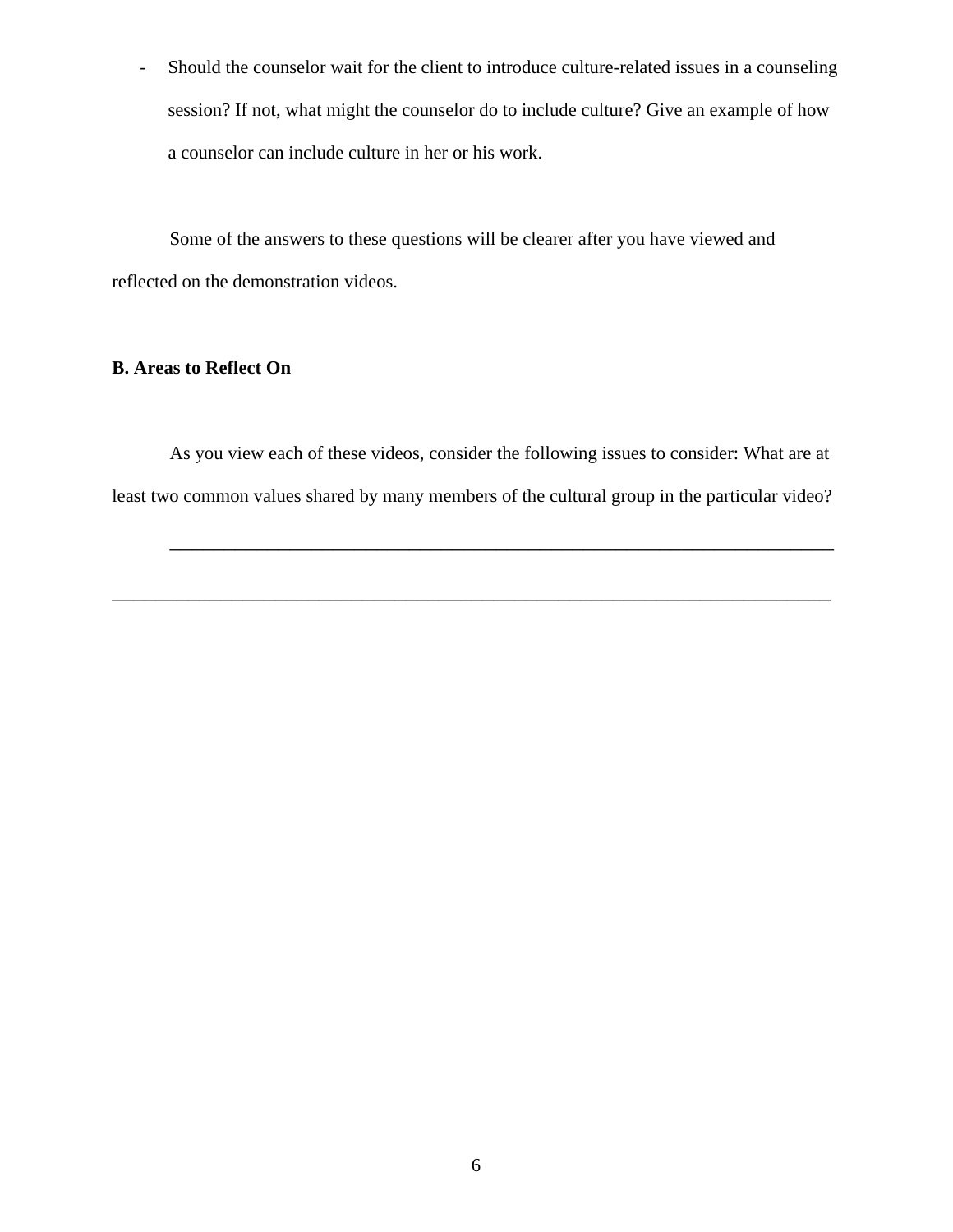- Should the counselor wait for the client to introduce culture-related issues in a counseling session? If not, what might the counselor do to include culture? Give an example of how a counselor can include culture in her or his work.

Some of the answers to these questions will be clearer after you have viewed and reflected on the demonstration videos.

# **B. Areas to Reflect On**

As you view each of these videos, consider the following issues to consider: What are at least two common values shared by many members of the cultural group in the particular video?

\_\_\_\_\_\_\_\_\_\_\_\_\_\_\_\_\_\_\_\_\_\_\_\_\_\_\_\_\_\_\_\_\_\_\_\_\_\_\_\_\_\_\_\_\_\_\_\_\_\_\_\_\_\_\_\_\_\_\_\_\_\_\_\_\_\_

\_\_\_\_\_\_\_\_\_\_\_\_\_\_\_\_\_\_\_\_\_\_\_\_\_\_\_\_\_\_\_\_\_\_\_\_\_\_\_\_\_\_\_\_\_\_\_\_\_\_\_\_\_\_\_\_\_\_\_\_\_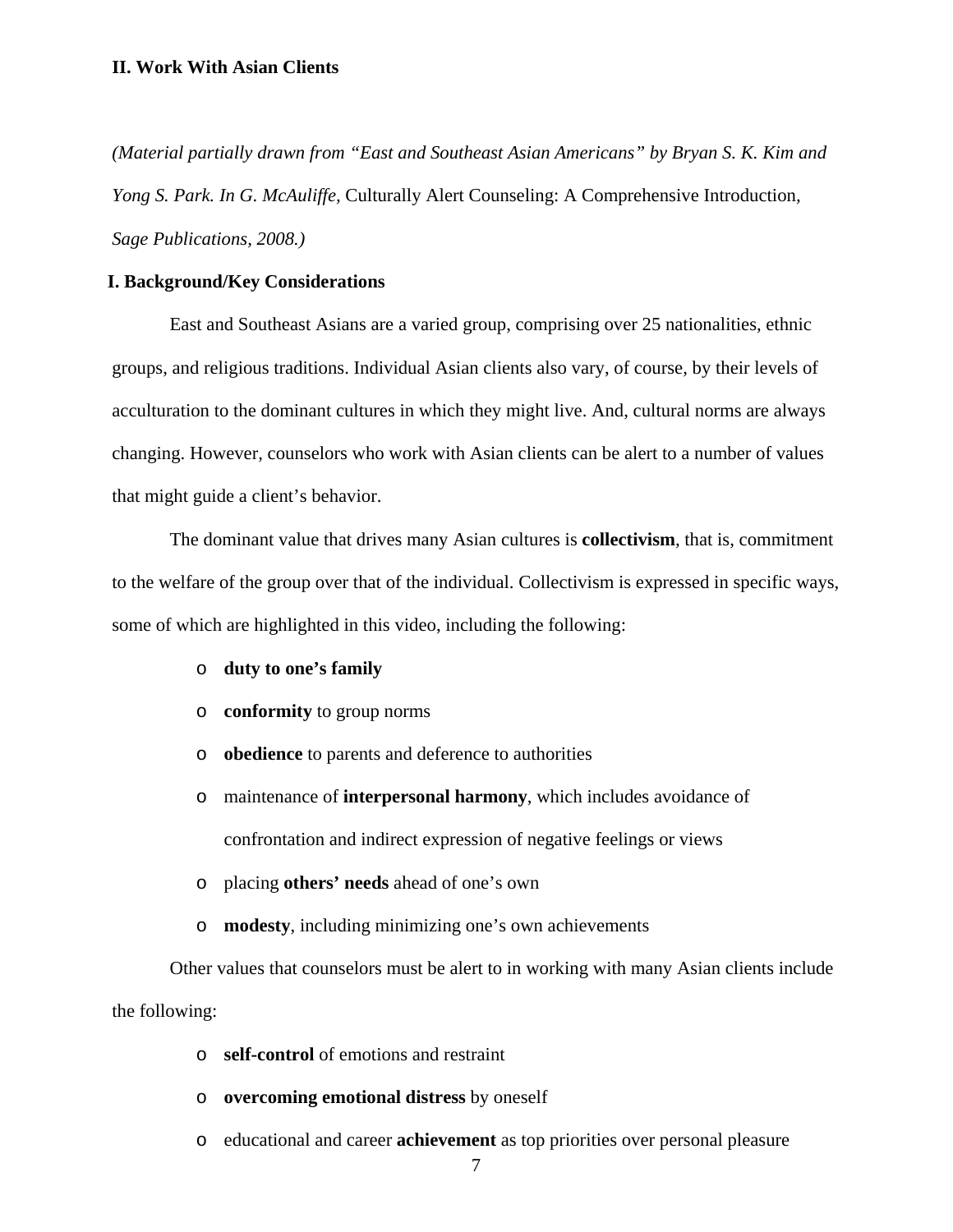*(Material partially drawn from "East and Southeast Asian Americans" by Bryan S. K. Kim and Yong S. Park. In G. McAuliffe,* Culturally Alert Counseling: A Comprehensive Introduction*, Sage Publications, 2008.)* 

# **I. Background/Key Considerations**

East and Southeast Asians are a varied group, comprising over 25 nationalities, ethnic groups, and religious traditions. Individual Asian clients also vary, of course, by their levels of acculturation to the dominant cultures in which they might live. And, cultural norms are always changing. However, counselors who work with Asian clients can be alert to a number of values that might guide a client's behavior.

The dominant value that drives many Asian cultures is **collectivism**, that is, commitment to the welfare of the group over that of the individual. Collectivism is expressed in specific ways, some of which are highlighted in this video, including the following:

- o **duty to one's family**
- o **conformity** to group norms
- o **obedience** to parents and deference to authorities
- o maintenance of **interpersonal harmony**, which includes avoidance of confrontation and indirect expression of negative feelings or views
- o placing **others' needs** ahead of one's own
- o **modesty**, including minimizing one's own achievements

Other values that counselors must be alert to in working with many Asian clients include the following:

- o **self-control** of emotions and restraint
- o **overcoming emotional distress** by oneself
- o educational and career **achievement** as top priorities over personal pleasure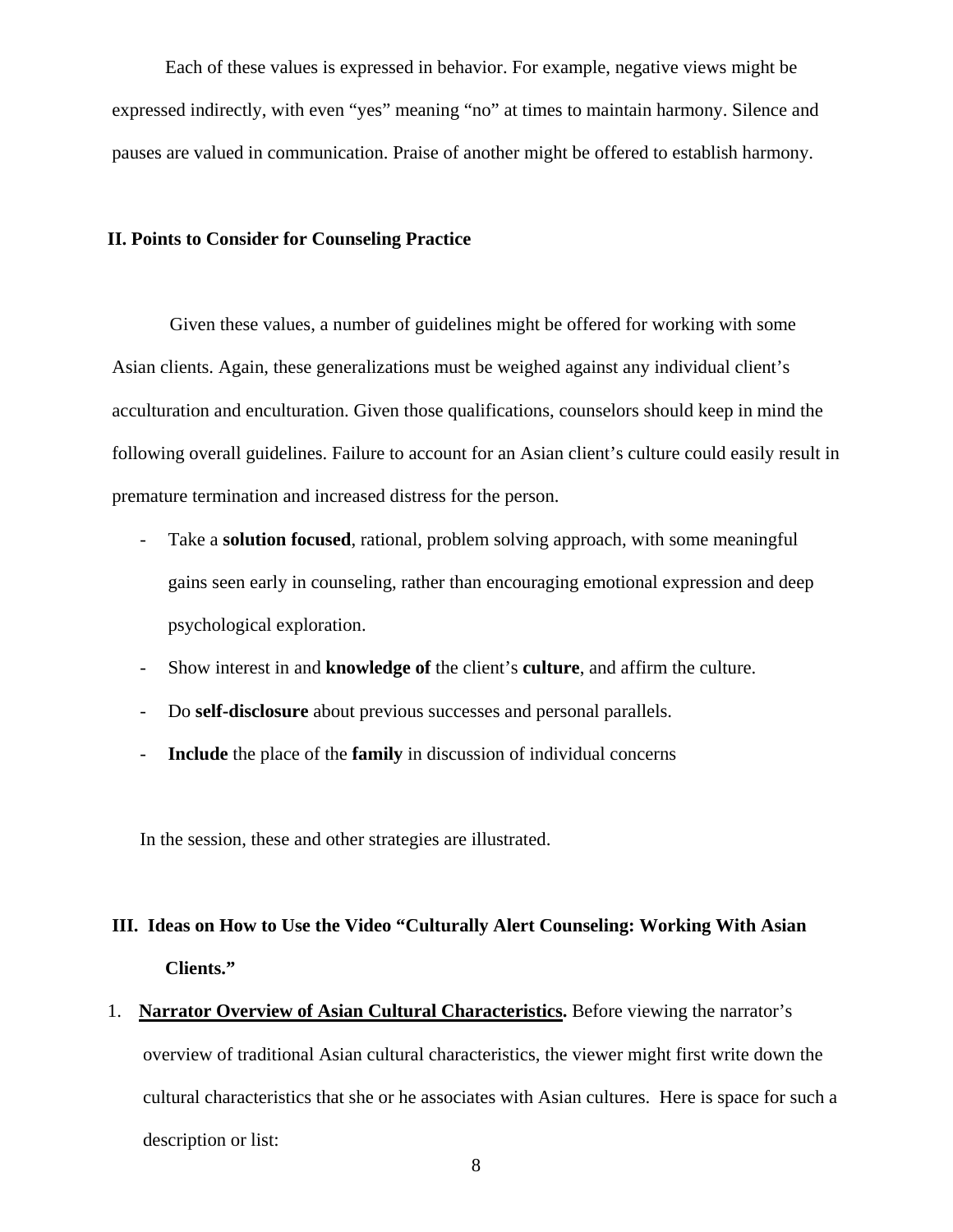Each of these values is expressed in behavior. For example, negative views might be expressed indirectly, with even "yes" meaning "no" at times to maintain harmony. Silence and pauses are valued in communication. Praise of another might be offered to establish harmony.

#### **II. Points to Consider for Counseling Practice**

Given these values, a number of guidelines might be offered for working with some Asian clients. Again, these generalizations must be weighed against any individual client's acculturation and enculturation. Given those qualifications, counselors should keep in mind the following overall guidelines. Failure to account for an Asian client's culture could easily result in premature termination and increased distress for the person.

- Take a **solution focused**, rational, problem solving approach, with some meaningful gains seen early in counseling, rather than encouraging emotional expression and deep psychological exploration.
- Show interest in and **knowledge of** the client's **culture**, and affirm the culture.
- Do **self-disclosure** about previous successes and personal parallels.
- **Include** the place of the **family** in discussion of individual concerns

In the session, these and other strategies are illustrated.

# **III. Ideas on How to Use the Video "Culturally Alert Counseling: Working With Asian Clients."**

1. **Narrator Overview of Asian Cultural Characteristics.** Before viewing the narrator's overview of traditional Asian cultural characteristics, the viewer might first write down the cultural characteristics that she or he associates with Asian cultures. Here is space for such a description or list: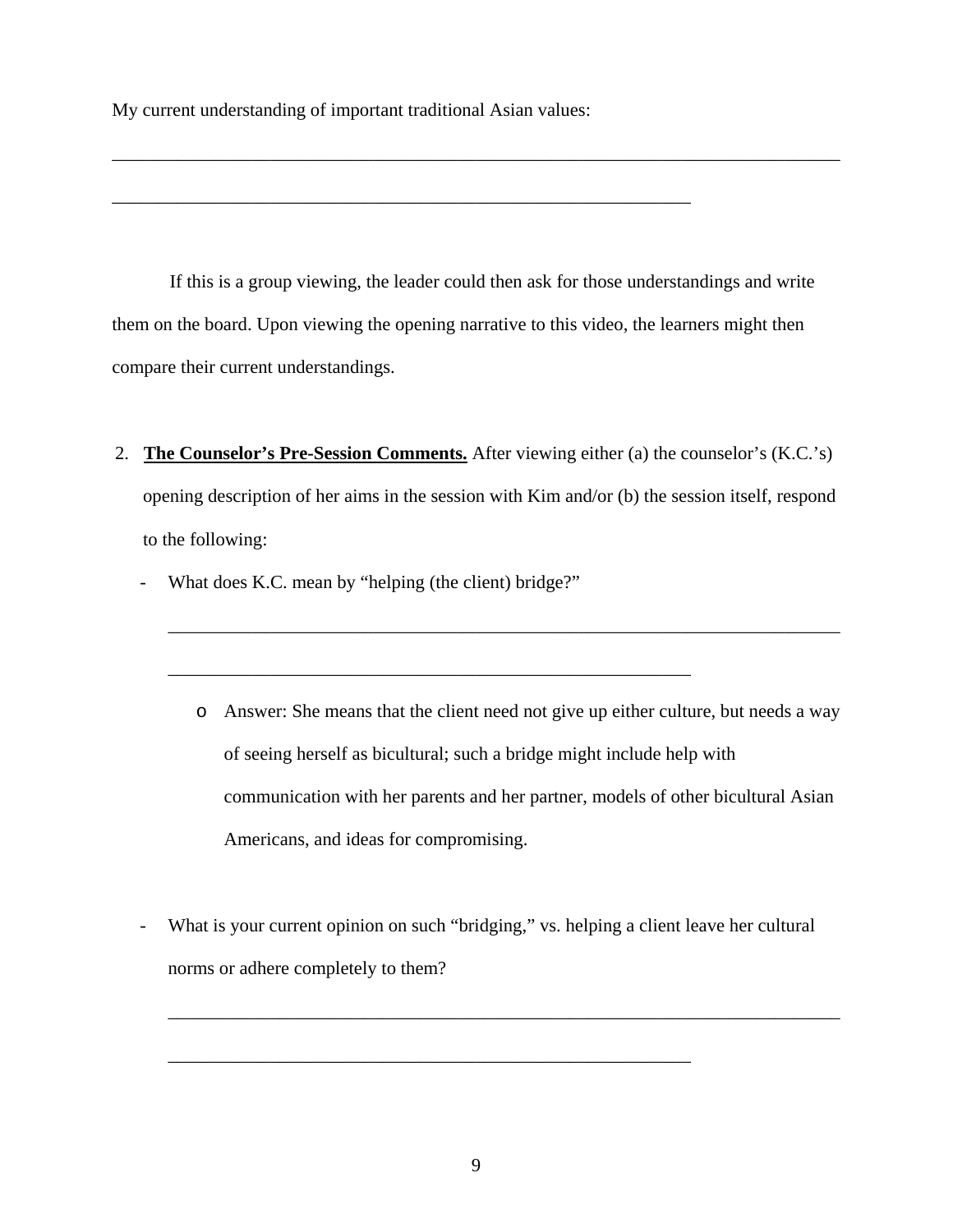My current understanding of important traditional Asian values:

\_\_\_\_\_\_\_\_\_\_\_\_\_\_\_\_\_\_\_\_\_\_\_\_\_\_\_\_\_\_\_\_\_\_\_\_\_\_\_\_\_\_\_\_\_\_\_\_\_\_\_\_\_\_\_\_\_\_\_\_\_\_

If this is a group viewing, the leader could then ask for those understandings and write them on the board. Upon viewing the opening narrative to this video, the learners might then compare their current understandings.

\_\_\_\_\_\_\_\_\_\_\_\_\_\_\_\_\_\_\_\_\_\_\_\_\_\_\_\_\_\_\_\_\_\_\_\_\_\_\_\_\_\_\_\_\_\_\_\_\_\_\_\_\_\_\_\_\_\_\_\_\_\_\_\_\_\_\_\_\_\_\_\_\_\_\_\_\_\_

2. **The Counselor's Pre-Session Comments.** After viewing either (a) the counselor's (K.C.'s) opening description of her aims in the session with Kim and/or (b) the session itself, respond to the following:

\_\_\_\_\_\_\_\_\_\_\_\_\_\_\_\_\_\_\_\_\_\_\_\_\_\_\_\_\_\_\_\_\_\_\_\_\_\_\_\_\_\_\_\_\_\_\_\_\_\_\_\_\_\_\_\_

- What does K.C. mean by "helping (the client) bridge?"

o Answer: She means that the client need not give up either culture, but needs a way of seeing herself as bicultural; such a bridge might include help with communication with her parents and her partner, models of other bicultural Asian Americans, and ideas for compromising.

\_\_\_\_\_\_\_\_\_\_\_\_\_\_\_\_\_\_\_\_\_\_\_\_\_\_\_\_\_\_\_\_\_\_\_\_\_\_\_\_\_\_\_\_\_\_\_\_\_\_\_\_\_\_\_\_\_\_\_\_\_\_\_\_\_\_\_\_\_\_\_\_

- What is your current opinion on such "bridging," vs. helping a client leave her cultural norms or adhere completely to them?

\_\_\_\_\_\_\_\_\_\_\_\_\_\_\_\_\_\_\_\_\_\_\_\_\_\_\_\_\_\_\_\_\_\_\_\_\_\_\_\_\_\_\_\_\_\_\_\_\_\_\_\_\_\_\_\_\_\_\_\_\_\_\_\_\_\_\_\_\_\_\_\_

\_\_\_\_\_\_\_\_\_\_\_\_\_\_\_\_\_\_\_\_\_\_\_\_\_\_\_\_\_\_\_\_\_\_\_\_\_\_\_\_\_\_\_\_\_\_\_\_\_\_\_\_\_\_\_\_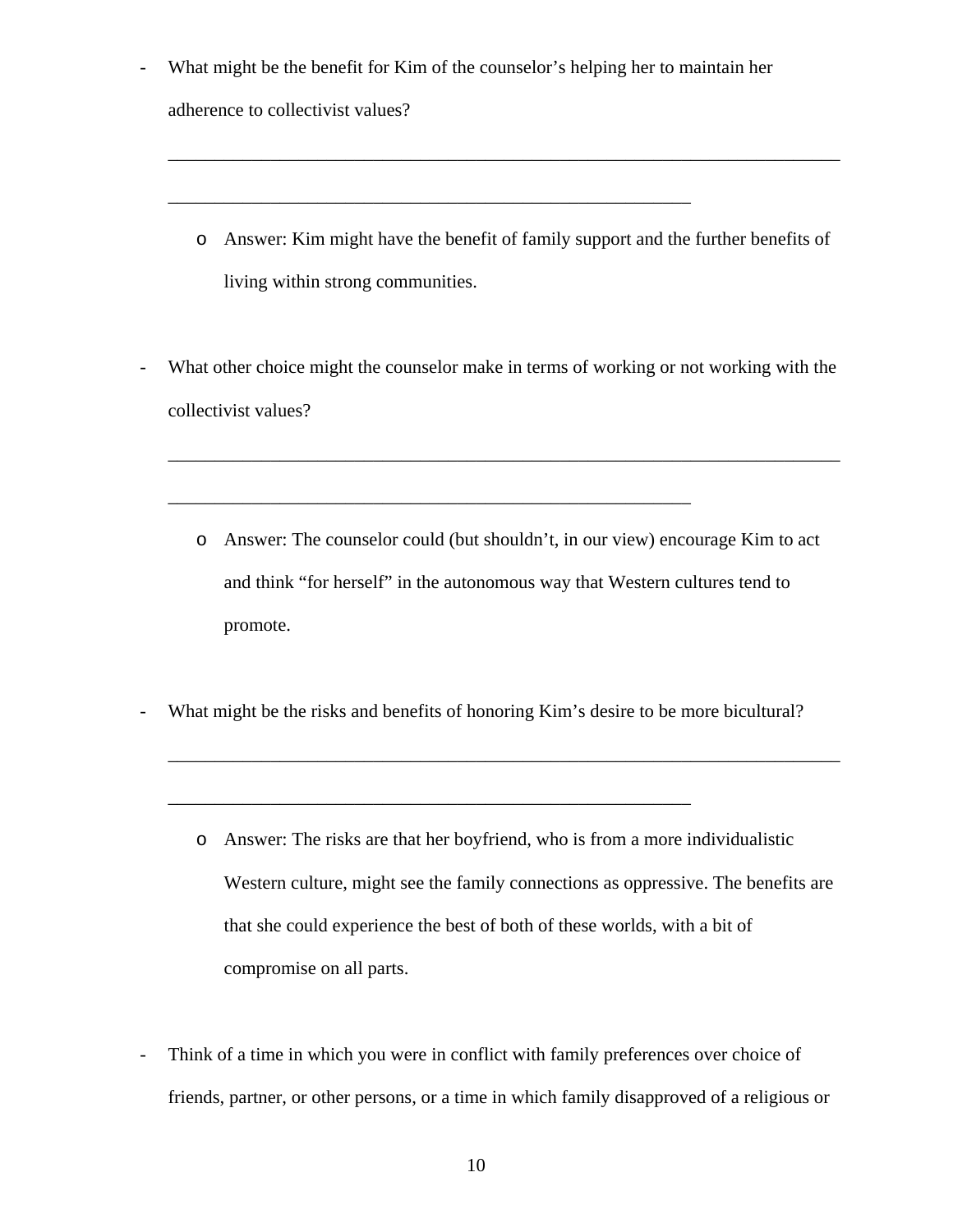What might be the benefit for Kim of the counselor's helping her to maintain her

\_\_\_\_\_\_\_\_\_\_\_\_\_\_\_\_\_\_\_\_\_\_\_\_\_\_\_\_\_\_\_\_\_\_\_\_\_\_\_\_\_\_\_\_\_\_\_\_\_\_\_\_\_\_\_\_

adherence to collectivist values?

- o Answer: Kim might have the benefit of family support and the further benefits of living within strong communities.
- What other choice might the counselor make in terms of working or not working with the collectivist values?

\_\_\_\_\_\_\_\_\_\_\_\_\_\_\_\_\_\_\_\_\_\_\_\_\_\_\_\_\_\_\_\_\_\_\_\_\_\_\_\_\_\_\_\_\_\_\_\_\_\_\_\_\_\_\_\_\_\_\_\_\_\_\_\_\_\_\_\_\_\_\_\_

- o Answer: The counselor could (but shouldn't, in our view) encourage Kim to act and think "for herself" in the autonomous way that Western cultures tend to promote.
- What might be the risks and benefits of honoring Kim's desire to be more bicultural?

\_\_\_\_\_\_\_\_\_\_\_\_\_\_\_\_\_\_\_\_\_\_\_\_\_\_\_\_\_\_\_\_\_\_\_\_\_\_\_\_\_\_\_\_\_\_\_\_\_\_\_\_\_\_\_\_

\_\_\_\_\_\_\_\_\_\_\_\_\_\_\_\_\_\_\_\_\_\_\_\_\_\_\_\_\_\_\_\_\_\_\_\_\_\_\_\_\_\_\_\_\_\_\_\_\_\_\_\_\_\_\_\_\_\_\_\_\_\_\_\_\_\_\_\_\_\_\_\_

- o Answer: The risks are that her boyfriend, who is from a more individualistic Western culture, might see the family connections as oppressive. The benefits are that she could experience the best of both of these worlds, with a bit of compromise on all parts.
- Think of a time in which you were in conflict with family preferences over choice of friends, partner, or other persons, or a time in which family disapproved of a religious or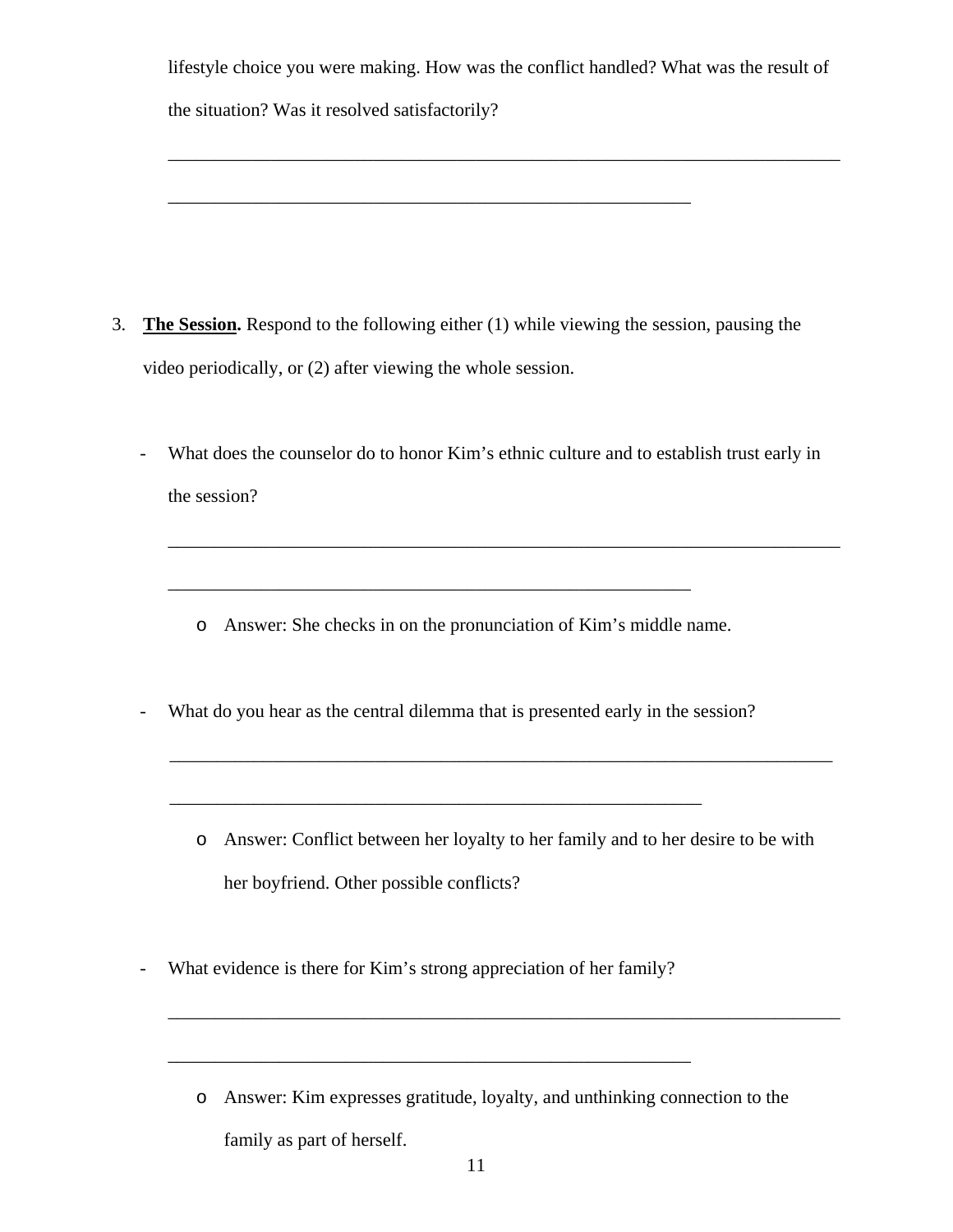| lifestyle choice you were making. How was the conflict handled? What was the result of |  |
|----------------------------------------------------------------------------------------|--|
| the situation? Was it resolved satisfactorily?                                         |  |

\_\_\_\_\_\_\_\_\_\_\_\_\_\_\_\_\_\_\_\_\_\_\_\_\_\_\_\_\_\_\_\_\_\_\_\_\_\_\_\_\_\_\_\_\_\_\_\_\_\_\_\_\_\_\_\_\_\_\_\_\_\_\_\_\_\_\_\_\_\_\_\_

3. **The Session.** Respond to the following either (1) while viewing the session, pausing the video periodically, or (2) after viewing the whole session.

\_\_\_\_\_\_\_\_\_\_\_\_\_\_\_\_\_\_\_\_\_\_\_\_\_\_\_\_\_\_\_\_\_\_\_\_\_\_\_\_\_\_\_\_\_\_\_\_\_\_\_\_\_\_\_\_

- What does the counselor do to honor Kim's ethnic culture and to establish trust early in the session?

\_\_\_\_\_\_\_\_\_\_\_\_\_\_\_\_\_\_\_\_\_\_\_\_\_\_\_\_\_\_\_\_\_\_\_\_\_\_\_\_\_\_\_\_\_\_\_\_\_\_\_\_\_\_\_\_\_\_\_\_\_\_\_\_\_\_\_\_\_\_\_\_

- o Answer: She checks in on the pronunciation of Kim's middle name.
- What do you hear as the central dilemma that is presented early in the session?

\_\_\_\_\_\_\_\_\_\_\_\_\_\_\_\_\_\_\_\_\_\_\_\_\_\_\_\_\_\_\_\_\_\_\_\_\_\_\_\_\_\_\_\_\_\_\_\_\_\_\_\_\_\_\_\_\_

o Answer: Conflict between her loyalty to her family and to her desire to be with her boyfriend. Other possible conflicts?

\_\_\_\_\_\_\_\_\_\_\_\_\_\_\_\_\_\_\_\_\_\_\_\_\_\_\_\_\_\_\_\_\_\_\_\_\_\_\_\_\_\_\_\_\_\_\_\_\_\_\_\_\_\_\_\_\_\_\_\_\_\_\_\_\_\_\_\_\_\_\_

- What evidence is there for Kim's strong appreciation of her family?
	- o Answer: Kim expresses gratitude, loyalty, and unthinking connection to the

\_\_\_\_\_\_\_\_\_\_\_\_\_\_\_\_\_\_\_\_\_\_\_\_\_\_\_\_\_\_\_\_\_\_\_\_\_\_\_\_\_\_\_\_\_\_\_\_\_\_\_\_\_\_\_\_\_\_\_\_\_\_\_\_\_\_\_\_\_\_\_\_

family as part of herself.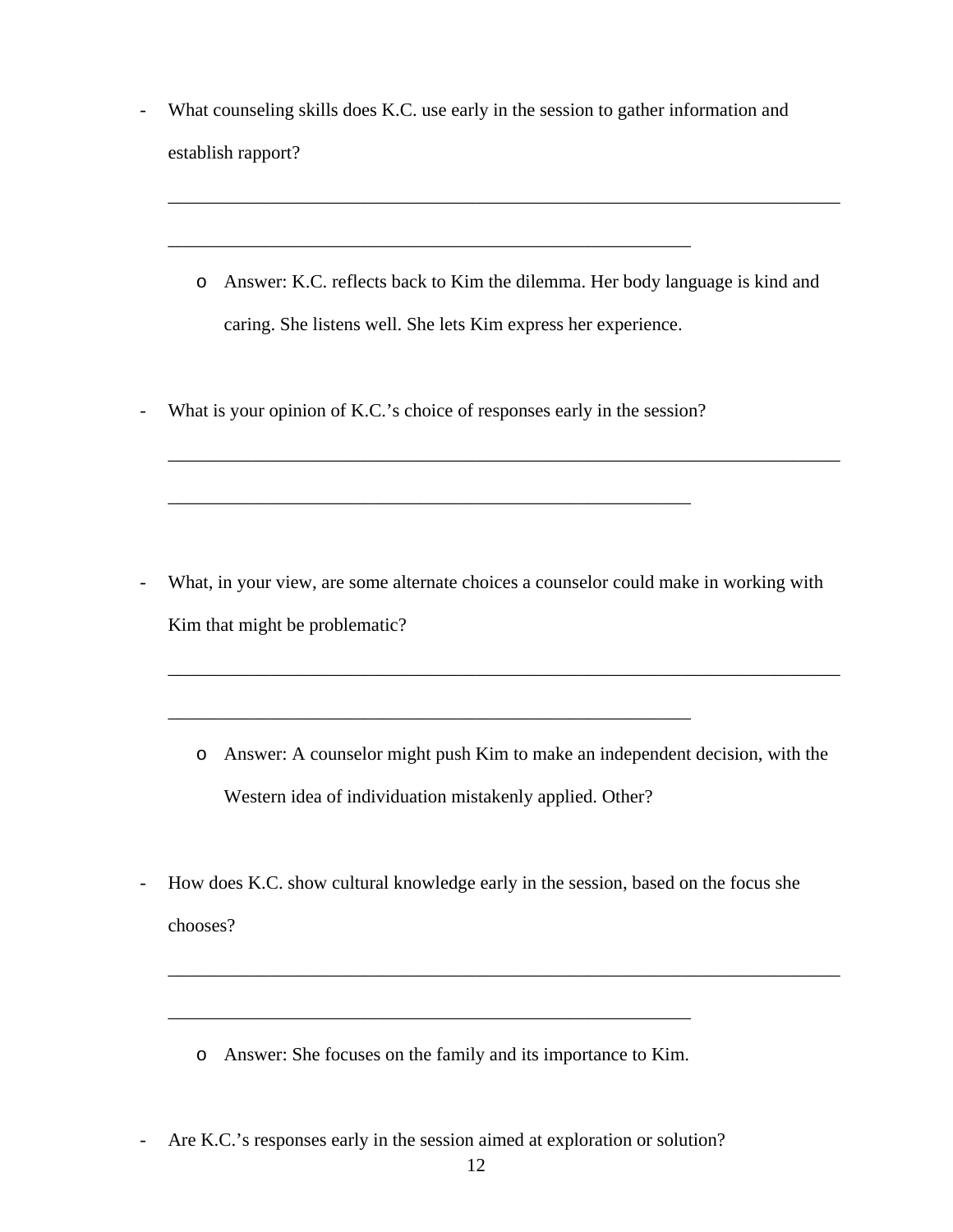- What counseling skills does K.C. use early in the session to gather information and establish rapport?
	- o Answer: K.C. reflects back to Kim the dilemma. Her body language is kind and caring. She listens well. She lets Kim express her experience.

\_\_\_\_\_\_\_\_\_\_\_\_\_\_\_\_\_\_\_\_\_\_\_\_\_\_\_\_\_\_\_\_\_\_\_\_\_\_\_\_\_\_\_\_\_\_\_\_\_\_\_\_\_\_\_\_\_\_\_\_\_\_\_\_\_\_\_\_\_\_\_\_

\_\_\_\_\_\_\_\_\_\_\_\_\_\_\_\_\_\_\_\_\_\_\_\_\_\_\_\_\_\_\_\_\_\_\_\_\_\_\_\_\_\_\_\_\_\_\_\_\_\_\_\_\_\_\_\_\_\_\_\_\_\_\_\_\_\_\_\_\_\_\_\_

- What is your opinion of K.C.'s choice of responses early in the session?

\_\_\_\_\_\_\_\_\_\_\_\_\_\_\_\_\_\_\_\_\_\_\_\_\_\_\_\_\_\_\_\_\_\_\_\_\_\_\_\_\_\_\_\_\_\_\_\_\_\_\_\_\_\_\_\_

\_\_\_\_\_\_\_\_\_\_\_\_\_\_\_\_\_\_\_\_\_\_\_\_\_\_\_\_\_\_\_\_\_\_\_\_\_\_\_\_\_\_\_\_\_\_\_\_\_\_\_\_\_\_\_\_

\_\_\_\_\_\_\_\_\_\_\_\_\_\_\_\_\_\_\_\_\_\_\_\_\_\_\_\_\_\_\_\_\_\_\_\_\_\_\_\_\_\_\_\_\_\_\_\_\_\_\_\_\_\_\_\_

- What, in your view, are some alternate choices a counselor could make in working with Kim that might be problematic?
	- o Answer: A counselor might push Kim to make an independent decision, with the Western idea of individuation mistakenly applied. Other?

\_\_\_\_\_\_\_\_\_\_\_\_\_\_\_\_\_\_\_\_\_\_\_\_\_\_\_\_\_\_\_\_\_\_\_\_\_\_\_\_\_\_\_\_\_\_\_\_\_\_\_\_\_\_\_\_\_\_\_\_\_\_\_\_\_\_\_\_\_\_\_\_

- How does K.C. show cultural knowledge early in the session, based on the focus she chooses?

\_\_\_\_\_\_\_\_\_\_\_\_\_\_\_\_\_\_\_\_\_\_\_\_\_\_\_\_\_\_\_\_\_\_\_\_\_\_\_\_\_\_\_\_\_\_\_\_\_\_\_\_\_\_\_\_\_\_\_\_\_\_\_\_\_\_\_\_\_\_\_\_

o Answer: She focuses on the family and its importance to Kim.

\_\_\_\_\_\_\_\_\_\_\_\_\_\_\_\_\_\_\_\_\_\_\_\_\_\_\_\_\_\_\_\_\_\_\_\_\_\_\_\_\_\_\_\_\_\_\_\_\_\_\_\_\_\_\_\_

- Are K.C.'s responses early in the session aimed at exploration or solution?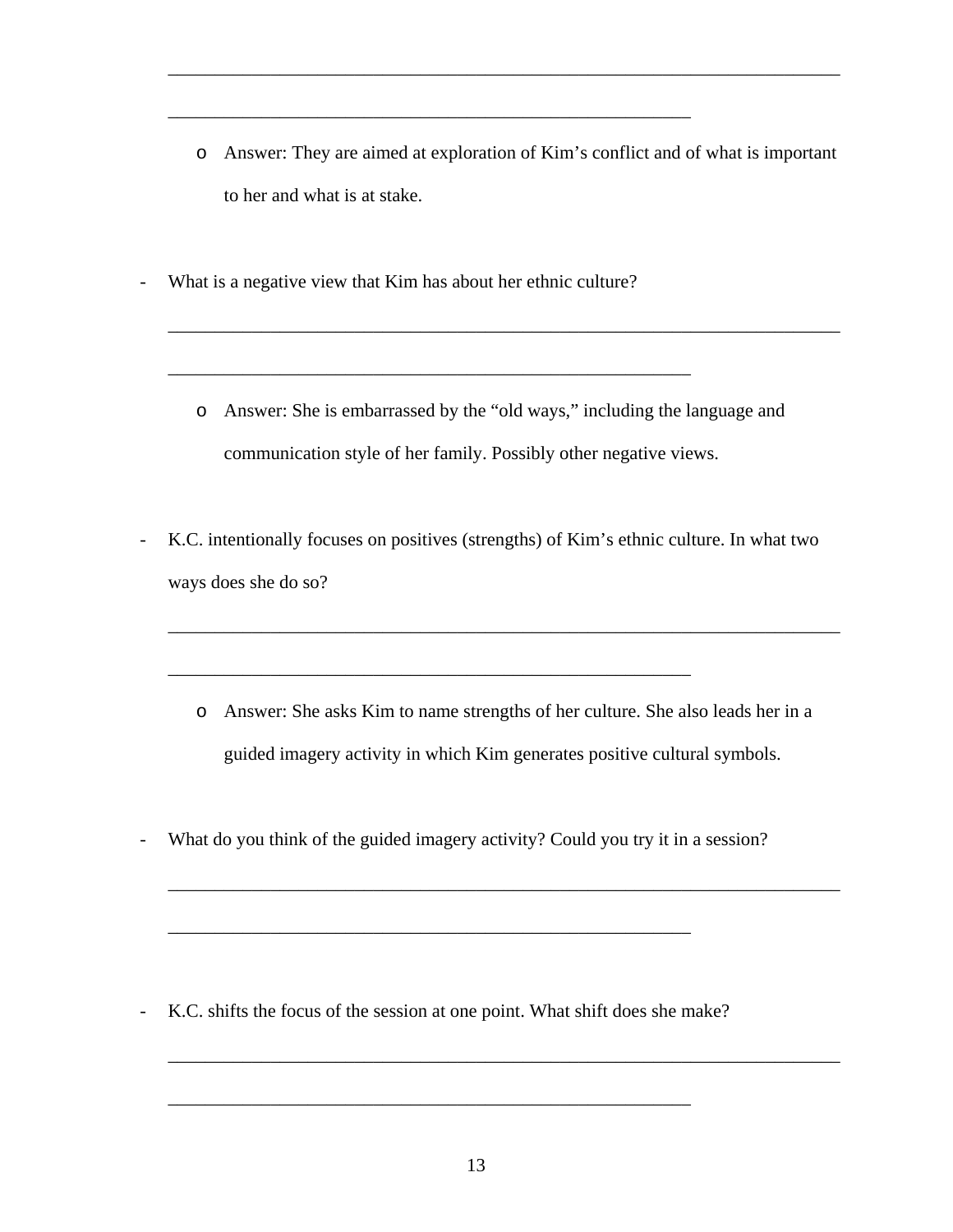o Answer: They are aimed at exploration of Kim's conflict and of what is important to her and what is at stake.

\_\_\_\_\_\_\_\_\_\_\_\_\_\_\_\_\_\_\_\_\_\_\_\_\_\_\_\_\_\_\_\_\_\_\_\_\_\_\_\_\_\_\_\_\_\_\_\_\_\_\_\_\_\_\_\_\_\_\_\_\_\_\_\_\_\_\_\_\_\_\_\_

- What is a negative view that Kim has about her ethnic culture?

\_\_\_\_\_\_\_\_\_\_\_\_\_\_\_\_\_\_\_\_\_\_\_\_\_\_\_\_\_\_\_\_\_\_\_\_\_\_\_\_\_\_\_\_\_\_\_\_\_\_\_\_\_\_\_\_

o Answer: She is embarrassed by the "old ways," including the language and communication style of her family. Possibly other negative views.

\_\_\_\_\_\_\_\_\_\_\_\_\_\_\_\_\_\_\_\_\_\_\_\_\_\_\_\_\_\_\_\_\_\_\_\_\_\_\_\_\_\_\_\_\_\_\_\_\_\_\_\_\_\_\_\_\_\_\_\_\_\_\_\_\_\_\_\_\_\_\_\_

- K.C. intentionally focuses on positives (strengths) of Kim's ethnic culture. In what two ways does she do so?
	- o Answer: She asks Kim to name strengths of her culture. She also leads her in a guided imagery activity in which Kim generates positive cultural symbols.

\_\_\_\_\_\_\_\_\_\_\_\_\_\_\_\_\_\_\_\_\_\_\_\_\_\_\_\_\_\_\_\_\_\_\_\_\_\_\_\_\_\_\_\_\_\_\_\_\_\_\_\_\_\_\_\_\_\_\_\_\_\_\_\_\_\_\_\_\_\_\_\_

\_\_\_\_\_\_\_\_\_\_\_\_\_\_\_\_\_\_\_\_\_\_\_\_\_\_\_\_\_\_\_\_\_\_\_\_\_\_\_\_\_\_\_\_\_\_\_\_\_\_\_\_\_\_\_\_\_\_\_\_\_\_\_\_\_\_\_\_\_\_\_\_

\_\_\_\_\_\_\_\_\_\_\_\_\_\_\_\_\_\_\_\_\_\_\_\_\_\_\_\_\_\_\_\_\_\_\_\_\_\_\_\_\_\_\_\_\_\_\_\_\_\_\_\_\_\_\_\_\_\_\_\_\_\_\_\_\_\_\_\_\_\_\_\_

- What do you think of the guided imagery activity? Could you try it in a session?

\_\_\_\_\_\_\_\_\_\_\_\_\_\_\_\_\_\_\_\_\_\_\_\_\_\_\_\_\_\_\_\_\_\_\_\_\_\_\_\_\_\_\_\_\_\_\_\_\_\_\_\_\_\_\_\_

- K.C. shifts the focus of the session at one point. What shift does she make?

\_\_\_\_\_\_\_\_\_\_\_\_\_\_\_\_\_\_\_\_\_\_\_\_\_\_\_\_\_\_\_\_\_\_\_\_\_\_\_\_\_\_\_\_\_\_\_\_\_\_\_\_\_\_\_\_

\_\_\_\_\_\_\_\_\_\_\_\_\_\_\_\_\_\_\_\_\_\_\_\_\_\_\_\_\_\_\_\_\_\_\_\_\_\_\_\_\_\_\_\_\_\_\_\_\_\_\_\_\_\_\_\_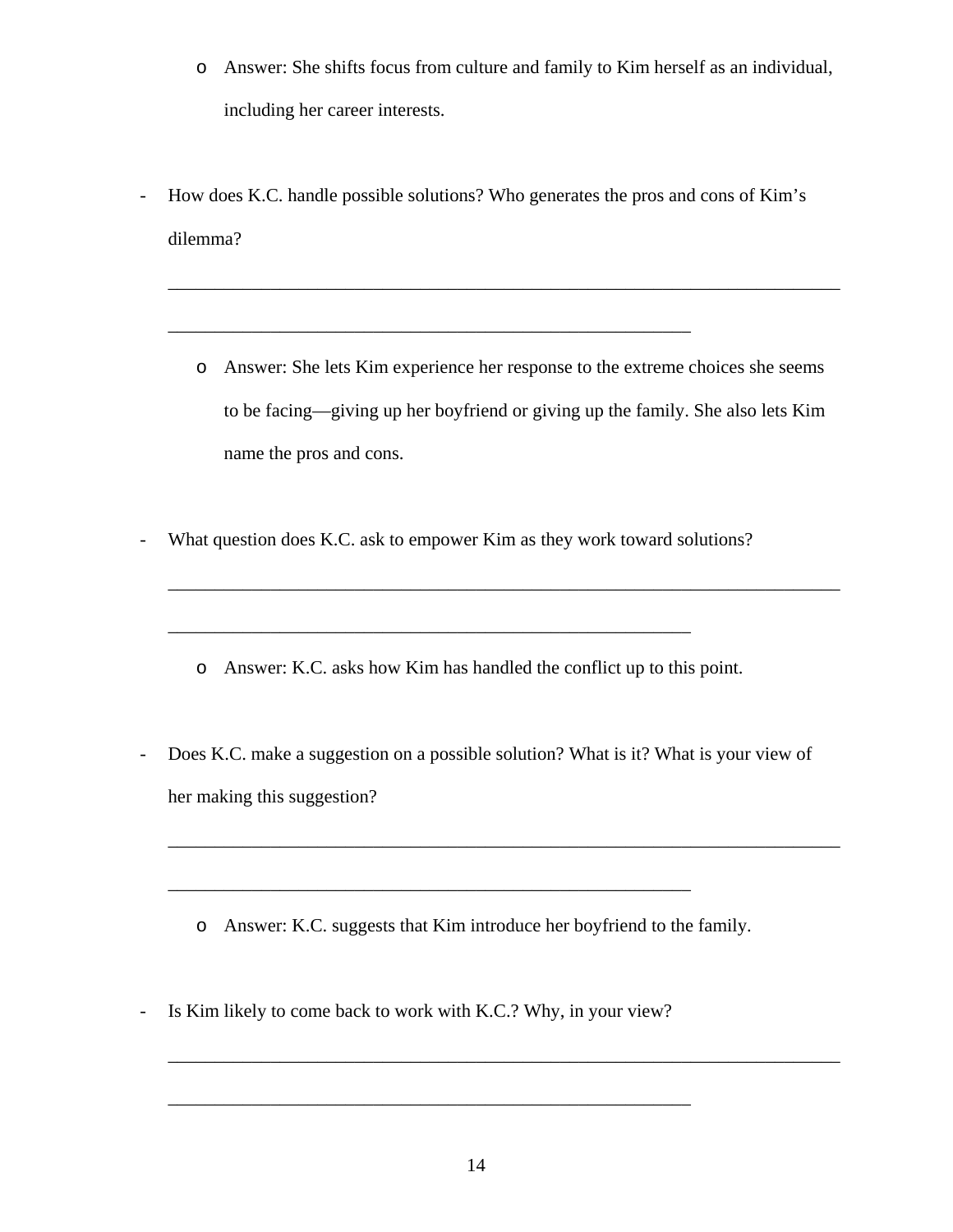- o Answer: She shifts focus from culture and family to Kim herself as an individual, including her career interests.
- How does K.C. handle possible solutions? Who generates the pros and cons of Kim's dilemma?
	- o Answer: She lets Kim experience her response to the extreme choices she seems to be facing—giving up her boyfriend or giving up the family. She also lets Kim name the pros and cons.

\_\_\_\_\_\_\_\_\_\_\_\_\_\_\_\_\_\_\_\_\_\_\_\_\_\_\_\_\_\_\_\_\_\_\_\_\_\_\_\_\_\_\_\_\_\_\_\_\_\_\_\_\_\_\_\_\_\_\_\_\_\_\_\_\_\_\_\_\_\_\_\_

\_\_\_\_\_\_\_\_\_\_\_\_\_\_\_\_\_\_\_\_\_\_\_\_\_\_\_\_\_\_\_\_\_\_\_\_\_\_\_\_\_\_\_\_\_\_\_\_\_\_\_\_\_\_\_\_\_\_\_\_\_\_\_\_\_\_\_\_\_\_\_\_

- What question does K.C. ask to empower Kim as they work toward solutions?

\_\_\_\_\_\_\_\_\_\_\_\_\_\_\_\_\_\_\_\_\_\_\_\_\_\_\_\_\_\_\_\_\_\_\_\_\_\_\_\_\_\_\_\_\_\_\_\_\_\_\_\_\_\_\_\_

- o Answer: K.C. asks how Kim has handled the conflict up to this point.
- Does K.C. make a suggestion on a possible solution? What is it? What is your view of her making this suggestion?

\_\_\_\_\_\_\_\_\_\_\_\_\_\_\_\_\_\_\_\_\_\_\_\_\_\_\_\_\_\_\_\_\_\_\_\_\_\_\_\_\_\_\_\_\_\_\_\_\_\_\_\_\_\_\_\_\_\_\_\_\_\_\_\_\_\_\_\_\_\_\_\_

\_\_\_\_\_\_\_\_\_\_\_\_\_\_\_\_\_\_\_\_\_\_\_\_\_\_\_\_\_\_\_\_\_\_\_\_\_\_\_\_\_\_\_\_\_\_\_\_\_\_\_\_\_\_\_\_\_\_\_\_\_\_\_\_\_\_\_\_\_\_\_\_

- o Answer: K.C. suggests that Kim introduce her boyfriend to the family.
- Is Kim likely to come back to work with K.C.? Why, in your view?

\_\_\_\_\_\_\_\_\_\_\_\_\_\_\_\_\_\_\_\_\_\_\_\_\_\_\_\_\_\_\_\_\_\_\_\_\_\_\_\_\_\_\_\_\_\_\_\_\_\_\_\_\_\_\_\_